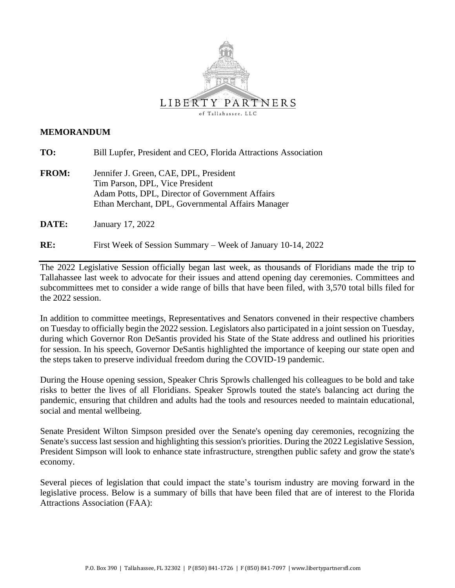

#### **MEMORANDUM**

**TO:** Bill Lupfer, President and CEO, Florida Attractions Association

**FROM:** Jennifer J. Green, CAE, DPL, President Tim Parson, DPL, Vice President Adam Potts, DPL, Director of Government Affairs Ethan Merchant, DPL, Governmental Affairs Manager

**DATE:** January 17, 2022

**RE:** First Week of Session Summary – Week of January 10-14, 2022

The 2022 Legislative Session officially began last week, as thousands of Floridians made the trip to Tallahassee last week to advocate for their issues and attend opening day ceremonies. Committees and subcommittees met to consider a wide range of bills that have been filed, with 3,570 total bills filed for the 2022 session.

In addition to committee meetings, Representatives and Senators convened in their respective chambers on Tuesday to officially begin the 2022 session. Legislators also participated in a joint session on Tuesday, during which Governor Ron DeSantis provided his State of the State address and outlined his priorities for session. In his speech, Governor DeSantis highlighted the importance of keeping our state open and the steps taken to preserve individual freedom during the COVID-19 pandemic.

During the House opening session, Speaker Chris Sprowls challenged his colleagues to be bold and take risks to better the lives of all Floridians. Speaker Sprowls touted the state's balancing act during the pandemic, ensuring that children and adults had the tools and resources needed to maintain educational, social and mental wellbeing.

Senate President Wilton Simpson presided over the Senate's opening day ceremonies, recognizing the Senate's success last session and highlighting this session's priorities. During the 2022 Legislative Session, President Simpson will look to enhance state infrastructure, strengthen public safety and grow the state's economy.

Several pieces of legislation that could impact the state's tourism industry are moving forward in the legislative process. Below is a summary of bills that have been filed that are of interest to the Florida Attractions Association (FAA):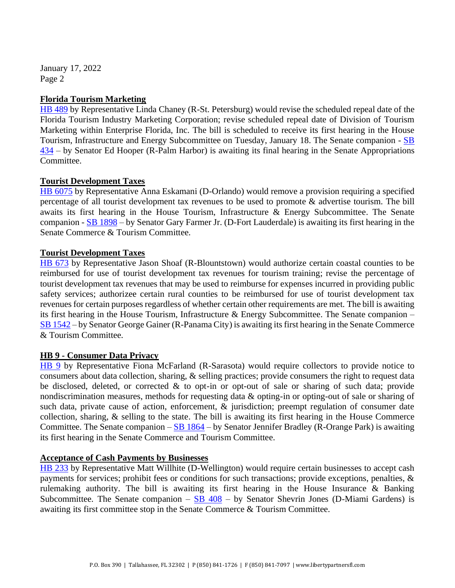January 17, 2022 Page 2

## **Florida Tourism Marketing**

[HB 489](https://www.myfloridahouse.gov/Sections/Bills/billsdetail.aspx?BillId=73966&SessionId=93) by Representative Linda Chaney (R-St. Petersburg) would revise the scheduled repeal date of the Florida Tourism Industry Marketing Corporation; revise scheduled repeal date of Division of Tourism Marketing within Enterprise Florida, Inc. The bill is scheduled to receive its first hearing in the House Tourism, Infrastructure and Energy Subcommittee on Tuesday, January 18. The Senate companion - [SB](https://www.flsenate.gov/Session/Bill/2022/434)  [434](https://www.flsenate.gov/Session/Bill/2022/434) – by Senator Ed Hooper (R-Palm Harbor) is awaiting its final hearing in the Senate Appropriations Committee.

# **Tourist Development Taxes**

[HB 6075](https://www.myfloridahouse.gov/Sections/Bills/billsdetail.aspx?BillId=73902&SessionId=93) by Representative Anna Eskamani (D-Orlando) would remove a provision requiring a specified percentage of all tourist development tax revenues to be used to promote & advertise tourism. The bill awaits its first hearing in the House Tourism, Infrastructure & Energy Subcommittee. The Senate companion  $-SB$  1898 – by Senator Gary Farmer Jr. (D-Fort Lauderdale) is awaiting its first hearing in the Senate Commerce & Tourism Committee.

# **Tourist Development Taxes**

[HB 673](https://www.myfloridahouse.gov/Sections/Bills/billsdetail.aspx?BillId=74794&SessionId=93) by Representative Jason Shoaf (R-Blountstown) would authorize certain coastal counties to be reimbursed for use of tourist development tax revenues for tourism training; revise the percentage of tourist development tax revenues that may be used to reimburse for expenses incurred in providing public safety services; authorizee certain rural counties to be reimbursed for use of tourist development tax revenues for certain purposes regardless of whether certain other requirements are met. The bill is awaiting its first hearing in the House Tourism, Infrastructure  $\&$  Energy Subcommittee. The Senate companion – [SB 1542](https://www.flsenate.gov/Session/Bill/2022/1542) – by Senator George Gainer (R-Panama City) is awaiting its first hearing in the Senate Commerce & Tourism Committee.

## **HB 9 - Consumer Data Privacy**

[HB 9](https://www.myfloridahouse.gov/Sections/Bills/billsdetail.aspx?BillId=76556&SessionId=93) by Representative Fiona McFarland (R-Sarasota) would require collectors to provide notice to consumers about data collection, sharing, & selling practices; provide consumers the right to request data be disclosed, deleted, or corrected & to opt-in or opt-out of sale or sharing of such data; provide nondiscrimination measures, methods for requesting data & opting-in or opting-out of sale or sharing of such data, private cause of action, enforcement, & jurisdiction; preempt regulation of consumer date collection, sharing, & selling to the state. The bill is awaiting its first hearing in the House Commerce Committee. The Senate companion  $-SB$  1864 – by Senator Jennifer Bradley (R-Orange Park) is awaiting its first hearing in the Senate Commerce and Tourism Committee.

## **Acceptance of Cash Payments by Businesses**

[HB 233](https://www.myfloridahouse.gov/Sections/Bills/billsdetail.aspx?BillId=73352&SessionId=93) by Representative Matt Willhite (D-Wellington) would require certain businesses to accept cash payments for services; prohibit fees or conditions for such transactions; provide exceptions, penalties, & rulemaking authority. The bill is awaiting its first hearing in the House Insurance & Banking Subcommittee. The Senate companion –  $SB$  408 – by Senator Shevrin Jones (D-Miami Gardens) is awaiting its first committee stop in the Senate Commerce & Tourism Committee.